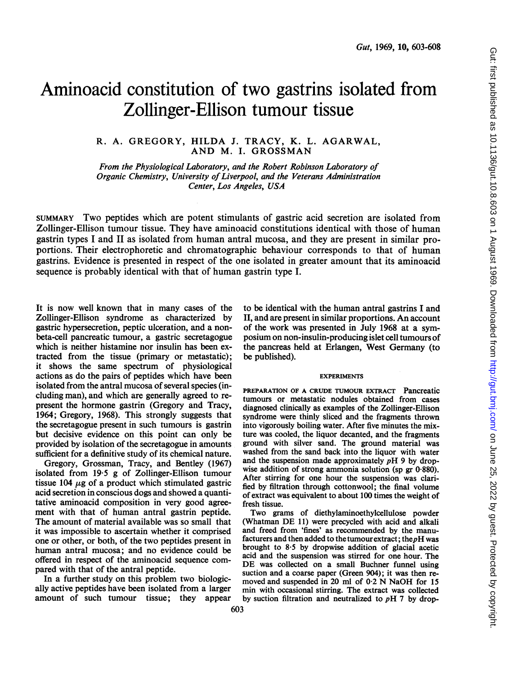# Aminoacid constitution of two gastrins isolated from Zollinger-Ellison tumour tissue

## R. A. GREGORY, HILDA J. TRACY, K. L. AGARWAL, AND M. I. GROSSMAN

From the Physiological Laboratory, and the Robert Robinson Laboratory of Organic Chemistry, University of Liverpool, and the Veterans Administration Center, Los Angeles, USA

SUMMARY Two peptides which are potent stimulants of gastric acid secretion are isolated from Zollinger-Ellison tumour tissue. They have aminoacid constitutions identical with those of human gastrin types <sup>I</sup> and II as isolated from human antral mucosa, and they are present in similar proportions. Their electrophoretic and chromatographic behaviour corresponds to that of human gastrins. Evidence is presented in respect of the one isolated in greater amount that its aminoacid sequence is probably identical with that of human gastrin type I.

It is now well known that in many cases of the Zollinger-Ellison syndrome as characterized by gastric hypersecretion, peptic ulceration, and a nonbeta-cell pancreatic tumour, a gastric secretagogue which is neither histamine nor insulin has been extracted from the tissue (primary or metastatic); it shows the same spectrum of physiological actions as do the pairs of peptides which have been isolated from the antral mucosa of several species (including man), and which are generally agreed to represent the hormone gastrin (Gregory and Tracy, 1964; Gregory, 1968). This strongly suggests that the secretagogue present in such tumours is gastrin but decisive evidence on this point can only be provided by isolation of the secretagogue in amounts sufficient for a definitive study of its chemical nature.

Gregory, Grossman, Tracy, and Bentley (1967) isolated from 19.5 g of Zollinger-Ellison tumour tissue 104  $\mu$ g of a product which stimulated gastric acid secretion in conscious dogs and showed a quantitative aminoacid composition in very good agreement with that of human antral gastrin peptide. The amount of material available was so small that it was impossible to ascertain whether it comprised one or other, or both, of the two peptides present in human antral mucosa; and no evidence could be offered in respect of the aminoacid sequence compared with that of the antral peptide.

In a further study on this problem two biologically active peptides have been isolated from a larger amount of such tumour tissue; they appear to be identical with the human antral gastrins <sup>I</sup> and II, and are present in similar proportions. An account of the work was presented in July 1968 at a symposium on non-insulin-producing islet cell tumours of the pancreas held at Erlangen, West Germany (to be published).

### EXPERIMENTS

PREPARATION OF A CRUDE TUMOUR EXTRACT Pancreatic tumours or metastatic nodules obtained from cases diagnosed clinically as examples of the Zollinger-Ellison syndrome were thinly sliced and the fragments thrown into vigorously boiling water. After five minutes the mixture was cooled, the liquor decanted, and the fragments ground with silver sand. The ground material was washed from the sand back into the liquor with water and the suspension made approximately  $pH$  9 by dropwise addition of strong ammonia solution (sp gr 0.880). After stirring for one hour the suspension was clarified by filtration through cottonwool; the final volume of extract was equivalent to about 100 times the weight of fresh tissue.

Two grams of diethylaminoethylcellulose powder (Whatman DE 11) were precycled with acid and alkali and freed from 'fines' as recommended by the manufacturers and then added to the tumour extract; the  $p$ H was brought to 8.5 by dropwise addition of glacial acetic acid and the suspension was stirred for one hour. The DE was collected on a small Buchner funnel using suction and a coarse paper (Green 904); it was then removed and suspended in <sup>20</sup> ml of 0.2 N NaOH for <sup>15</sup> min with occasional stirring. The extract was collected by suction filtration and neutralized to  $pH$  7 by drop-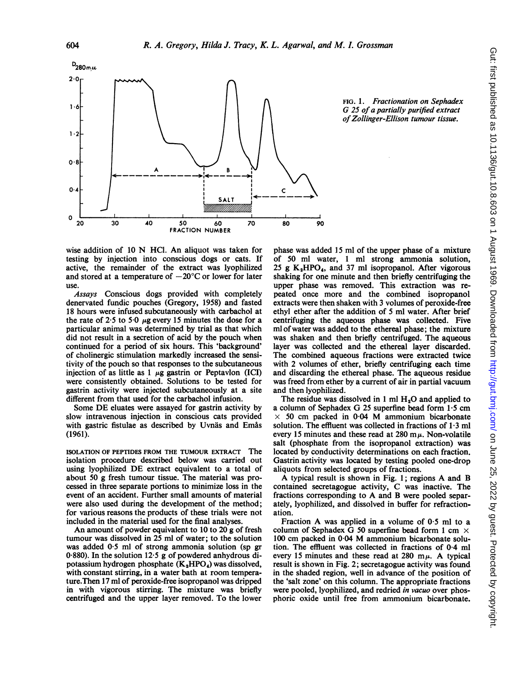

FIG. 1. Fractionation on Sephadex G 25 of a partially purified extract ofZollinger-Ellison tumour tissue.

wise addition of <sup>10</sup> N HCI. An aliquot was taken for testing by injection into conscious dogs or cats. If active, the remainder of the extract was lyophilized and stored at a temperature of  $-20^{\circ}$ C or lower for later use.

Assays Conscious dogs provided with completely denervated fundic pouches (Gregory, 1958) and fasted 18 hours were infused subcutaneously with carbachol at the rate of 2.5 to 5.0  $\mu$ g every 15 minutes the dose for a particular animal was determined by trial as that which did not result in a secretion of acid by the pouch when continued for a period of six hours. This 'background' of cholinergic stimulation markedly increased the sensitivity of the pouch so that responses to the subcutaneous injection of as little as 1  $\mu$ g gastrin or Peptavlon (ICI) were consistently obtained. Solutions to be tested for gastrin activity were injected subcutaneously at a site different from that used for the carbachol infusion.

Some DE eluates were assayed for gastrin activity by slow intravenous injection in conscious cats provided with gastric fistulae as described by Uvnäs and Emås (1961).

ISOLATION OF PEPTIDES FROM THE TUMOUR EXTRACT The isolation procedure described below was carried out using lyophilized DE extract equivalent to <sup>a</sup> total of about 50 g fresh tumour tissue. The material was processed in three separate portions to minimize loss in the event of an accident. Further small amounts of material were also used during the development of the method; for various reasons the products of these trials were not included in the material used for the final analyses.

An amount of powder equivalent to <sup>10</sup> to 20 g of fresh tumour was dissolved in 25 ml of water; to the solution was added 0.5 ml of strong ammonia solution (sp gr 0.880). In the solution 12-5 g of powdered anhydrous dipotassium hydrogen phosphate  $(K_2HPO_4)$  was dissolved, with constant stirring, in a water bath at room temperature.Then 17 ml of peroxide-free isopropanol was dripped in with vigorous stirring. The mixture was briefly centrifuged and the upper layer removed. To the lower

phase was added 15 ml of the upper phase of a mixture of 50 ml water, <sup>1</sup> ml strong ammonia solution, 25 g  $K_2HPO_4$ , and 37 ml isopropanol. After vigorous shaking for one minute and then briefly centrifuging the upper phase was removed. This extraction was repeated once more and the combined isopropanol extracts were then shaken with 3 volumes of peroxide-free ethyl ether after the addition of 5 ml water. After brief centrifuging the aqueous phase was collected. Five ml of water was added to the ethereal phase; the mixture was shaken and then briefly centrifuged. The aqueous layer was collected and the ethereal layer discarded. The combined aqueous fractions were extracted twice with 2 volumes of ether, briefly centrifuging each time and discarding the ethereal phase. The aqueous residue was freed from ether by a current of air in partial vacuum and then lyophilized.

The residue was dissolved in 1 ml H<sub>2</sub>O and applied to <sup>a</sup> column of Sephadex G <sup>25</sup> superfine bead form 1.5 cm  $\times$  50 cm packed in 0.04 M ammonium bicarbonate solution. The effluent was collected in fractions of 1.3 ml every 15 minutes and these read at 280 m $\mu$ . Non-volatile salt (phosphate from the isopropanol extraction) was located by conductivity determinations on each fraction. Gastrin activity was located by testing pooled one-drop aliquots from selected groups of fractions.

A typical result is shown in Fig. 1; regions A and B contained secretagogue activity, C was inactive. The fractions corresponding to A and B were pooled separately, lyophilized, and dissolved in buffer for refractionation.

Fraction A was applied in <sup>a</sup> volume of 0.5 ml to <sup>a</sup> column of Sephadex G 50 superfine bead form 1 cm  $\times$ <sup>100</sup> cm packed in 0.04 M ammonium bicarbonate solution. The effluent was collected in fractions of 0.4 ml every 15 minutes and these read at 280 m $\mu$ . A typical result is shown in Fig. 2; secretagogue activity was found in the shaded region, well in advance of the position of the 'salt zone' on this column. The appropriate fractions were pooled, lyophilized, and redried in vacuo over phosphoric oxide until free from ammonium bicarbonate.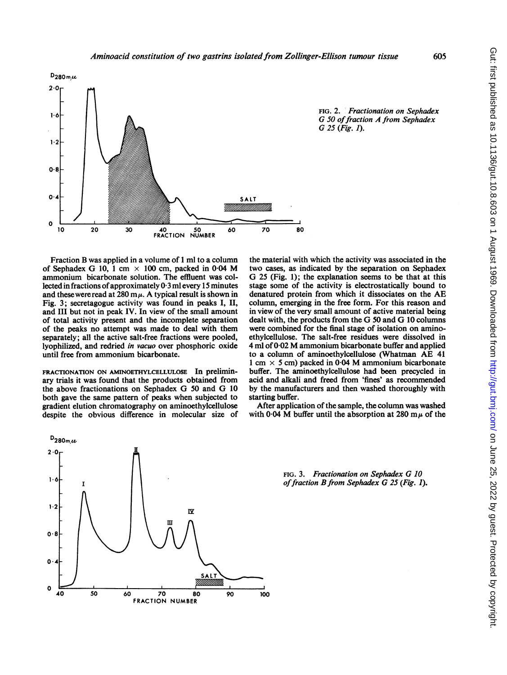

Fraction B was applied in a volume of <sup>1</sup> ml to a column of Sephadex G 10, 1 cm  $\times$  100 cm, packed in 0.04 M ammonium bicarbonate solution. The effluent was collected in fractions of approximately  $0.3$  ml every 15 minutes and these were read at 280 m $\mu$ . A typical result is shown in Fig. 3; secretagogue activity was found in peaks I, II, and III but not in peak IV. In view of the small amount of total activity present and the incomplete separation of the peaks no attempt was made to deal with them separately; all the active salt-free fractions were pooled, lyophilized, and redried in vacuo over phosphoric oxide until free from ammonium bicarbonate.

FRACTIONATION ON AMINOETHYLCELLULOSE In preliminary trials it was found that the products obtained from the above fractionations on Sephadex G <sup>50</sup> and G <sup>10</sup> both gave the same pattern of peaks when subjected to gradient elution chromatography on aminoethylcellulose despite the obvious difference in molecular size of the material with which the activity was associated in the two cases, as indicated by the separation on Sephadex G <sup>25</sup> (Fig. 1); the explanation seems to be that at this stage some of the activity is electrostatically bound to denatured protein from which it dissociates on the AE column, emerging in the free form. For this reason and in view of the very small amount of active material being dealt with, the products from the G <sup>50</sup> and G <sup>10</sup> columns were combined for the final stage of isolation on aminoethylcellulose. The salt-free residues were dissolved in 4 ml of 0.02 M ammonium bicarbonate buffer and applied to a column of aminoethylcellulose (Whatman AE <sup>41</sup> 1 cm  $\times$  5 cm) packed in 0.04 M ammonium bicarbonate buffer. The aminoethylcellulose had been precycled in acid and alkali and freed from 'fines' as recommended by the manufacturers and then washed thoroughly with starting buffer.

After application of the sample, the column was washed with 0.04 M buffer until the absorption at 280 m $\mu$  of the



FIG. 3. Fractionation on Sephadex G 10 of fraction B from Sephadex G 25 (Fig. 1).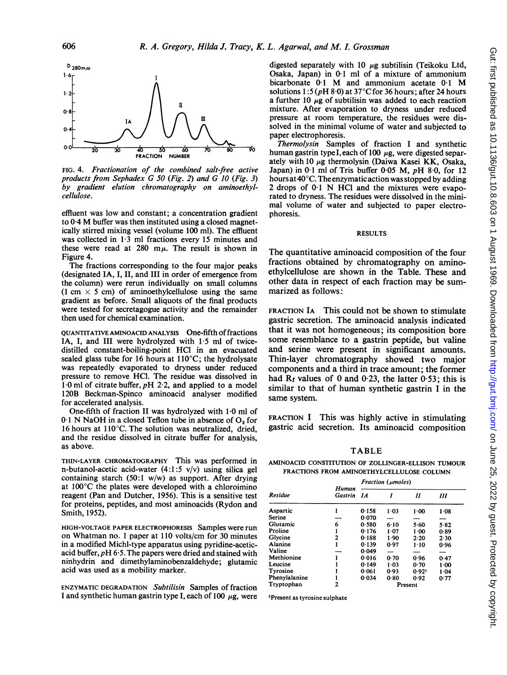

FIG. 4. Fractionation of the combined salt-free active products from Sephadex G 50 (Fig. 2) and G <sup>10</sup> (Fig. 3) by gradient elution chromatography on aminoethylcellulose.

effluent was low and constant; a concentration gradient to 0.4 M buffer was then instituted using <sup>a</sup> closed magnetically stirred mixing vessel (volume 100 ml). The effluent was collected in 1-3 ml fractions every 15 minutes and these were read at 280 m $\mu$ . The result is shown in Figure 4.

The fractions corresponding to the four major peaks (designated IA, I, II, and III in order of emergence from the column) were rerun individually on small columns  $(1 \text{ cm } \times 5 \text{ cm})$  of aminoethylcellulose using the same gradient as before. Small aliquots of the final products were tested for secretagogue activity and the remainder then used for chemical examination.

QUANTITATIVE AMINOACID ANALYSIS One-fifth of fractions IA, I, and III were hydrolyzed with 1-5 ml of twicedistilled constant-boiling-point HCI in an evacuated sealed glass tube for 16 hours at  $110^{\circ}$ C; the hydrolysate was repeatedly evaporated to dryness under reduced pressure to remove HCI. The residue was dissolved in 1.0 ml of citrate buffer,  $pH$  2.2, and applied to a model 120B Beckman-Spinco aminoacid analyser modified for accelerated analysis.

One-fifth of fraction II was hydrolyzed with 1-0 ml of  $0.1$  N NaOH in a closed Teflon tube in absence of  $O<sub>2</sub>$  for 16 hours at 110 $^{\circ}$ C. The solution was neutralized, dried, and the residue dissolved in citrate buffer for analysis, as above.

THIN-LAYER CHROMATOGRAPHY This was performed in n-butanol-acetic acid-water (4:1:5 v/v) using silica gel containing starch (50:1 w/w) as support. After drying at 100°C the plates were developed with a chloroimino reagent (Pan and Dutcher, 1956). This is a sensitive test for proteins, peptides, and most aminoacids (Rydon and Smith, 1952).

HIGH-VOLTAGE PAPER ELECTROPHORESIS Samples were run on Whatman no. <sup>1</sup> paper at 110 volts/cm for 30 minutes in a modified Michl-type apparatus using pyridine-aceticacid buffer,  $pH 6.5$ . The papers were dried and stained with ninhydrin and dimethylaminobenzaldehyde; glutamic acid was used as a mobility marker.

ENZYMATIC DEGRADATION Subtilisin Samples of fraction I and synthetic human gastrin type I, each of 100  $\mu$ g, were

digested separately with 10  $\mu$ g subtilisin (Teikoku Ltd, Osaka, Japan) in 0-1 ml of a mixture of ammonium bicarbonate 0-1 M and ammonium acetate 0-1 M solutions 1:5 ( $pH 8.0$ ) at 37°C for 36 hours; after 24 hours a further 10  $\mu$ g of subtilisin was added to each reaction mixture. After evaporation to dryness under reduced pressure at room temperature, the residues were dissolved in the minimal volume of water and subjected to paper electrophoresis.

Thermolysin Samples of fraction <sup>I</sup> and synthetic human gastrin type I, each of 100  $\mu$ g, were digested separately with 10  $\mu$ g thermolysin (Daiwa Kasei KK, Osaka, Japan) in  $0.1$  ml of Tris buffer  $0.05$  M,  $pH$  8.0, for 12 hours at 40°C. The enzymatic action was stopped by adding <sup>2</sup> drops of 0-1 N HCl and the mixtures were evaporated to dryness. The residues were dissolved in the minimal volume of water and subjected to paper electrophoresis.

## **RESULTS**

The quantitative aminoacid composition of the four fractions obtained by chromatography on aminoethylcellulose are shown in the Table. These and other data in respect of each fraction may be summarized as follows:

FRACTION IA This could not be shown to stimulate gastric secretion. The aminoacid analysis indicated that it was not homogeneous; its composition bore some resemblance to a gastrin peptide, but valine and serine were present in significant amounts. Thin-layer chromatography showed two major components and a third in trace amount; the former had  $R_f$  values of 0 and 0.23, the latter 0.53; this is similar to that of human synthetic gastrin <sup>I</sup> in the same system.

FRACTION <sup>I</sup> This was highly active in stimulating gastric acid secretion. Its aminoacid composition

TABLE

## AMINOACID CONSTITUTION OF ZOLLINGER-ELLISON TUMOUR FRACTIONS FROM AMINOETHYLCELLULOSE COLUMN

| Residue       | Human<br>Gastrin | <b>Fraction</b> ( <i>µmoles</i> ) |        |                   |          |
|---------------|------------------|-----------------------------------|--------|-------------------|----------|
|               |                  | 1A                                |        | 11                | Ш        |
| Aspartic      |                  | 0.158                             | $1-03$ | $1 - 00$          | 1.08     |
| Serine        |                  | 0.070                             |        |                   |          |
| Glutamic      | 6                | 0.580                             | 6.10   | 5.60              | 5.82     |
| Proline       |                  | 0.176                             | 1.07   | $1 - 00$          | 0.89     |
| Glycine       | 2                | 0.188                             | 1.90   | 2.20              | 2.30     |
| Alanine       |                  | 0.139                             | 0.97   | $1 - 10$          | 0.96     |
| Valine        |                  | 0.049                             | ---    |                   | –        |
| Methionine    |                  | 0.016                             | 0.70   | 0.96              | 0.47     |
| Leucine       |                  | 0.149                             | $1-03$ | 0.70              | $1 - 00$ |
| Tyrosine      |                  | 0.061                             | 0.93   | 0.92 <sup>1</sup> | 1.04     |
| Phenylalanine |                  | 0.034                             | 0.80   | 0.92              | 0.77     |
| Tryptophan    | 2                | Present                           |        |                   |          |

'Present as tyrosine sulphate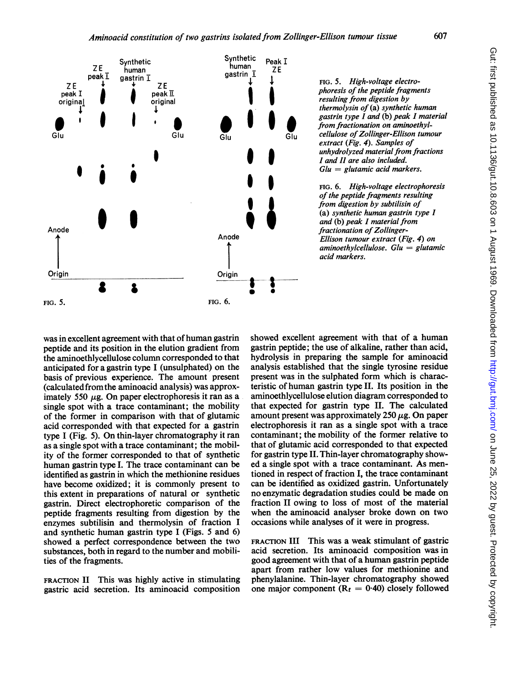

FIG. 5. High-voltage electrophoresis of the peptide fragments resulting from digestion by thermolysin of (a) synthetic human gastrin type I and (b) peak I material from fractionation on aminoethylcellulose of Zollinger-Ellison tumour extract (Fig. 4). Samples of unhydrolyzed material from fractions I and I1 are also included.  $G\mu =$  glutamic acid markers.

FIG. 6. High-voltage electrophoresis of the peptide fragments resulting from digestion by subtilisin of (a) synthetic human gastrin type I and (b) peak I material from fractionation of Zollinger-Ellison tumour extract (Fig. 4) on  $aminoethy$ cellulose. Glu = glutamic acid markers.

was in excellent agreement with that of human gastrin peptide and its position in the elution gradient from the aminoethlycellulose column corresponded to that anticipated for a gastrin type <sup>I</sup> (unsulphated) on the basis of previous experience. The amount present (calculated from the aminoacid analysis) was approximately 550  $\mu$ g. On paper electrophoresis it ran as a single spot with a trace contaminant; the mobility of the former in comparison with that of glutamic acid corresponded with that expected for a gastrin type <sup>I</sup> (Fig. 5). On thin-layer chromatography it ran as a single spot with a trace contaminant; the mobility of the former corresponded to that of synthetic human gastrin type I. The trace contaminant can be identified as gastrin in which the methionine residues have become oxidized; it is commonly present to this extent in preparations of natural or synthetic gastrin. Direct electrophoretic comparison of the peptide fragments resulting from digestion by the enzymes subtilisin and thermolysin of fraction <sup>I</sup> and synthetic human gastrin type <sup>I</sup> (Figs. 5 and 6) showed a perfect correspondence between the two substances, both in regard to the number and mobilities of the fragments.

FRACTION II This was highly active in stimulating gastric acid secretion. Its aminoacid composition

showed excellent agreement with that of a human gastrin peptide; the use of alkaline, rather than acid, hydrolysis in preparing the sample for aminoacid analysis established that the single tyrosine residue present was in the sulphated form which is characteristic of human gastrin type II. Its position in the aminoethlycellulose elution diagram corresponded to that expected for gastrin type II. The calculated amount present was approximately 250  $\mu$ g. On paper electrophoresis it ran as a single spot with a trace contaminant; the mobility of the former relative to that of glutamic acid corresponded to that expected for gastrin type II. Thin-layer chromatography showed a single spot with a trace contaminant. As mentioned in respect of fraction I, the trace contaminant can be identified as oxidized gastrin. Unfortunately no enzymatic degradation studies could be made on fraction II owing to loss of most of the material when the aminoacid analyser broke down on two occasions while analyses of it were in progress.

FRACTION III This was a weak stimulant of gastric acid secretion. Its aminoacid composition was in good agreement with that of a human gastrin peptide apart from rather low values for methionine and phenylalanine. Thin-layer chromatography showed one major component  $(R<sub>t</sub> = 0.40)$  closely followed